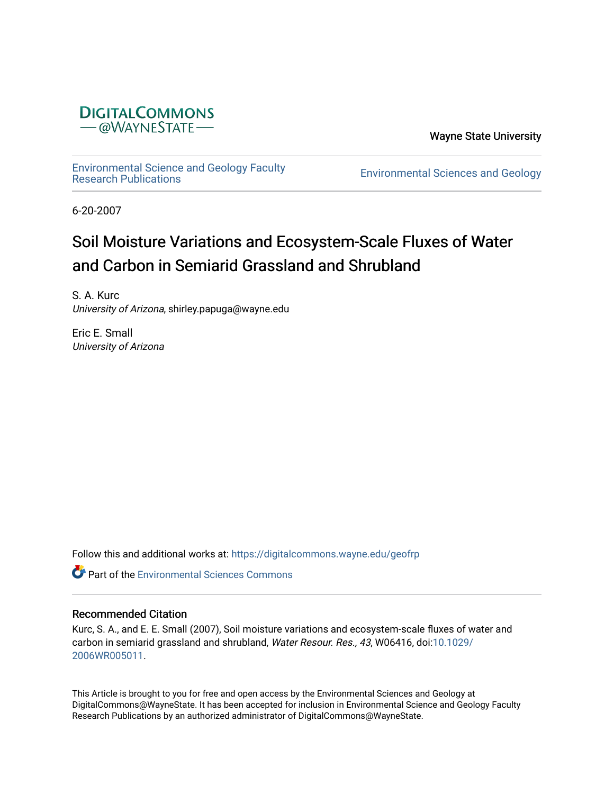

Wayne State University

[Environmental Science and Geology Faculty](https://digitalcommons.wayne.edu/geofrp) 

**Environmental Sciences and Geology** 

6-20-2007

# Soil Moisture Variations and Ecosystem-Scale Fluxes of Water and Carbon in Semiarid Grassland and Shrubland

S. A. Kurc University of Arizona, shirley.papuga@wayne.edu

Eric E. Small University of Arizona

Follow this and additional works at: [https://digitalcommons.wayne.edu/geofrp](https://digitalcommons.wayne.edu/geofrp?utm_source=digitalcommons.wayne.edu%2Fgeofrp%2F65&utm_medium=PDF&utm_campaign=PDFCoverPages) 

**C** Part of the [Environmental Sciences Commons](https://network.bepress.com/hgg/discipline/167?utm_source=digitalcommons.wayne.edu%2Fgeofrp%2F65&utm_medium=PDF&utm_campaign=PDFCoverPages)

# Recommended Citation

Kurc, S. A., and E. E. Small (2007), Soil moisture variations and ecosystem-scale fluxes of water and carbon in semiarid grassland and shrubland, Water Resour. Res., 43, W06416, doi:[10.1029/](https://doi.org/10.1029/2006WR005011) [2006WR005011](https://doi.org/10.1029/2006WR005011).

This Article is brought to you for free and open access by the Environmental Sciences and Geology at DigitalCommons@WayneState. It has been accepted for inclusion in Environmental Science and Geology Faculty Research Publications by an authorized administrator of DigitalCommons@WayneState.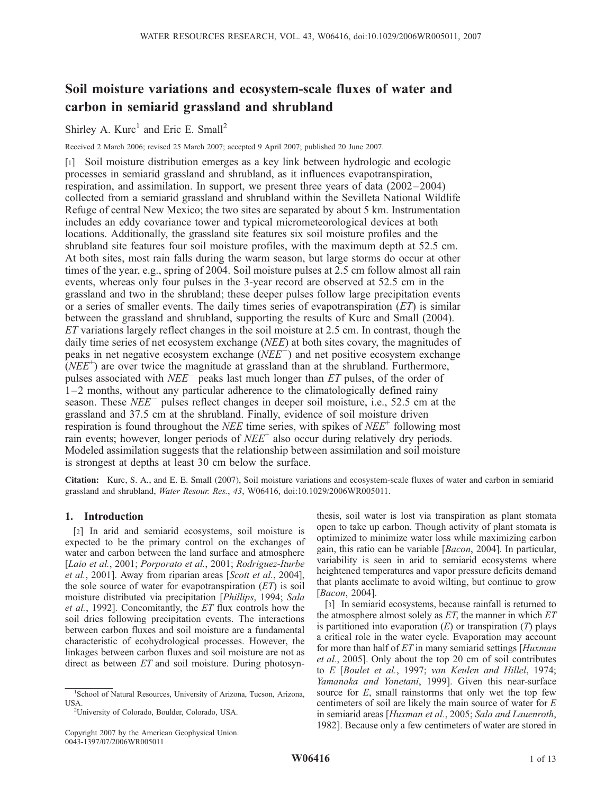# Soil moisture variations and ecosystem-scale fluxes of water and carbon in semiarid grassland and shrubland

# Shirley A.  $Kurc<sup>1</sup>$  and Eric E. Small<sup>2</sup>

Received 2 March 2006; revised 25 March 2007; accepted 9 April 2007; published 20 June 2007.

[1] Soil moisture distribution emerges as a key link between hydrologic and ecologic processes in semiarid grassland and shrubland, as it influences evapotranspiration, respiration, and assimilation. In support, we present three years of data (2002–2004) collected from a semiarid grassland and shrubland within the Sevilleta National Wildlife Refuge of central New Mexico; the two sites are separated by about 5 km. Instrumentation includes an eddy covariance tower and typical micrometeorological devices at both locations. Additionally, the grassland site features six soil moisture profiles and the shrubland site features four soil moisture profiles, with the maximum depth at 52.5 cm. At both sites, most rain falls during the warm season, but large storms do occur at other times of the year, e.g., spring of 2004. Soil moisture pulses at 2.5 cm follow almost all rain events, whereas only four pulses in the 3-year record are observed at 52.5 cm in the grassland and two in the shrubland; these deeper pulses follow large precipitation events or a series of smaller events. The daily times series of evapotranspiration  $(ET)$  is similar between the grassland and shrubland, supporting the results of Kurc and Small (2004). ET variations largely reflect changes in the soil moisture at 2.5 cm. In contrast, though the daily time series of net ecosystem exchange (*NEE*) at both sites covary, the magnitudes of peaks in net negative ecosystem exchange  $(NEE^{-})$  and net positive ecosystem exchange  $(NEE<sup>+</sup>)$  are over twice the magnitude at grassland than at the shrubland. Furthermore, pulses associated with  $NEE^-$  peaks last much longer than ET pulses, of the order of 1–2 months, without any particular adherence to the climatologically defined rainy season. These  $NEE^-$  pulses reflect changes in deeper soil moisture, i.e., 52.5 cm at the grassland and 37.5 cm at the shrubland. Finally, evidence of soil moisture driven respiration is found throughout the *NEE* time series, with spikes of  $NEE^+$  following most rain events; however, longer periods of  $NEE^+$  also occur during relatively dry periods. Modeled assimilation suggests that the relationship between assimilation and soil moisture is strongest at depths at least 30 cm below the surface.

Citation: Kurc, S. A., and E. E. Small (2007), Soil moisture variations and ecosystem-scale fluxes of water and carbon in semiarid grassland and shrubland, Water Resour. Res., 43, W06416, doi:10.1029/2006WR005011.

# 1. Introduction

[2] In arid and semiarid ecosystems, soil moisture is expected to be the primary control on the exchanges of water and carbon between the land surface and atmosphere [Laio et al., 2001; Porporato et al., 2001; Rodriguez-Iturbe et al., 2001]. Away from riparian areas [Scott et al., 2004], the sole source of water for evapotranspiration  $(ET)$  is soil moisture distributed via precipitation [Phillips, 1994; Sala et al., 1992]. Concomitantly, the ET flux controls how the soil dries following precipitation events. The interactions between carbon fluxes and soil moisture are a fundamental characteristic of ecohydrological processes. However, the linkages between carbon fluxes and soil moisture are not as direct as between ET and soil moisture. During photosynthesis, soil water is lost via transpiration as plant stomata open to take up carbon. Though activity of plant stomata is optimized to minimize water loss while maximizing carbon gain, this ratio can be variable [Bacon, 2004]. In particular, variability is seen in arid to semiarid ecosystems where heightened temperatures and vapor pressure deficits demand that plants acclimate to avoid wilting, but continue to grow [Bacon, 2004].

[3] In semiarid ecosystems, because rainfall is returned to the atmosphere almost solely as  $ET$ , the manner in which  $ET$ is partitioned into evaporation  $(E)$  or transpiration  $(T)$  plays a critical role in the water cycle. Evaporation may account for more than half of ET in many semiarid settings [Huxman] et al., 2005]. Only about the top 20 cm of soil contributes to E [Boulet et al., 1997; van Keulen and Hillel, 1974; Yamanaka and Yonetani, 1999]. Given this near-surface source for  $E$ , small rainstorms that only wet the top few centimeters of soil are likely the main source of water for E in semiarid areas [Huxman et al., 2005; Sala and Lauenroth, 1982]. Because only a few centimeters of water are stored in

<sup>&</sup>lt;sup>1</sup>School of Natural Resources, University of Arizona, Tucson, Arizona, USA.

University of Colorado, Boulder, Colorado, USA.

Copyright 2007 by the American Geophysical Union. 0043-1397/07/2006WR005011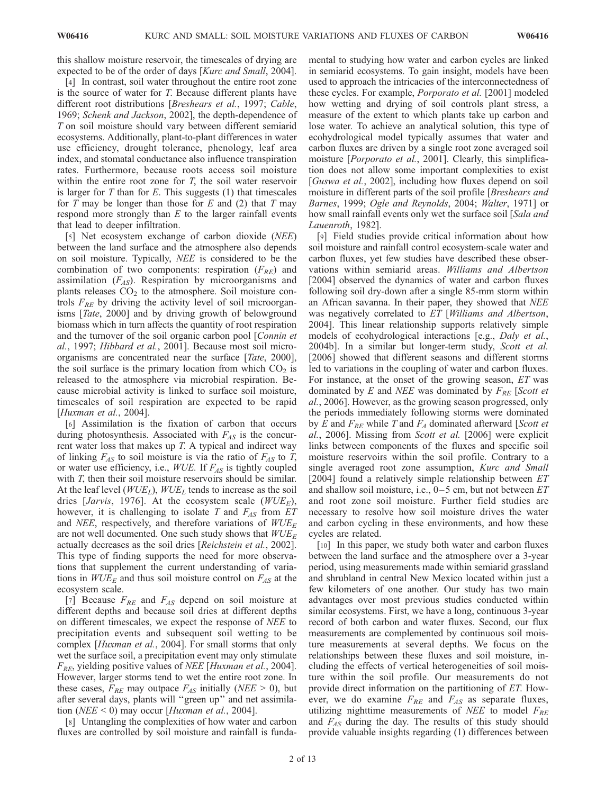this shallow moisture reservoir, the timescales of drying are expected to be of the order of days [Kurc and Small, 2004].

[4] In contrast, soil water throughout the entire root zone is the source of water for T. Because different plants have different root distributions [Breshears et al., 1997; Cable, 1969; Schenk and Jackson, 2002], the depth-dependence of T on soil moisture should vary between different semiarid ecosystems. Additionally, plant-to-plant differences in water use efficiency, drought tolerance, phenology, leaf area index, and stomatal conductance also influence transpiration rates. Furthermore, because roots access soil moisture within the entire root zone for  $T$ , the soil water reservoir is larger for  $T$  than for  $E$ . This suggests  $(1)$  that timescales for T may be longer than those for E and  $(2)$  that T may respond more strongly than  $E$  to the larger rainfall events that lead to deeper infiltration.

[5] Net ecosystem exchange of carbon dioxide (NEE) between the land surface and the atmosphere also depends on soil moisture. Typically, NEE is considered to be the combination of two components: respiration  $(F_{RE})$  and assimilation  $(F_{AS})$ . Respiration by microorganisms and plants releases  $CO<sub>2</sub>$  to the atmosphere. Soil moisture controls  $F_{RE}$  by driving the activity level of soil microorganisms [Tate, 2000] and by driving growth of belowground biomass which in turn affects the quantity of root respiration and the turnover of the soil organic carbon pool [Connin et al., 1997; Hibbard et al., 2001]. Because most soil microorganisms are concentrated near the surface [Tate, 2000], the soil surface is the primary location from which  $CO<sub>2</sub>$  is released to the atmosphere via microbial respiration. Because microbial activity is linked to surface soil moisture, timescales of soil respiration are expected to be rapid [Huxman et al., 2004].

[6] Assimilation is the fixation of carbon that occurs during photosynthesis. Associated with  $F_{AS}$  is the concurrent water loss that makes up  $T$ . A typical and indirect way of linking  $F_{AS}$  to soil moisture is via the ratio of  $F_{AS}$  to T, or water use efficiency, i.e.,  $WUE$ . If  $F_{AS}$  is tightly coupled with  $T$ , then their soil moisture reservoirs should be similar. At the leaf level ( $WUE_L$ ),  $WUE_L$  tends to increase as the soil dries [Jarvis, 1976]. At the ecosystem scale ( $WUE<sub>E</sub>$ ), however, it is challenging to isolate T and  $F_{AS}$  from ET and *NEE*, respectively, and therefore variations of  $WUE<sub>E</sub>$ are not well documented. One such study shows that  $WUE<sub>E</sub>$ actually decreases as the soil dries [Reichstein et al., 2002]. This type of finding supports the need for more observations that supplement the current understanding of variations in  $WUE_E$  and thus soil moisture control on  $F_{AS}$  at the ecosystem scale.

[7] Because  $F_{RE}$  and  $F_{AS}$  depend on soil moisture at different depths and because soil dries at different depths on different timescales, we expect the response of NEE to precipitation events and subsequent soil wetting to be complex [Huxman et al., 2004]. For small storms that only wet the surface soil, a precipitation event may only stimulate  $F_{RE}$ , yielding positive values of *NEE* [Huxman et al., 2004]. However, larger storms tend to wet the entire root zone. In these cases,  $F_{RE}$  may outpace  $F_{AS}$  initially (NEE > 0), but after several days, plants will ''green up'' and net assimilation (*NEE* < 0) may occur [*Huxman et al.*, 2004].

[8] Untangling the complexities of how water and carbon fluxes are controlled by soil moisture and rainfall is funda-

mental to studying how water and carbon cycles are linked in semiarid ecosystems. To gain insight, models have been used to approach the intricacies of the interconnectedness of these cycles. For example, Porporato et al. [2001] modeled how wetting and drying of soil controls plant stress, a measure of the extent to which plants take up carbon and lose water. To achieve an analytical solution, this type of ecohydrological model typically assumes that water and carbon fluxes are driven by a single root zone averaged soil moisture [Porporato et al., 2001]. Clearly, this simplification does not allow some important complexities to exist [*Guswa et al.*, 2002], including how fluxes depend on soil moisture in different parts of the soil profile [*Breshears and* Barnes, 1999; Ogle and Reynolds, 2004; Walter, 1971] or how small rainfall events only wet the surface soil [Sala and Lauenroth, 1982].

[9] Field studies provide critical information about how soil moisture and rainfall control ecosystem-scale water and carbon fluxes, yet few studies have described these observations within semiarid areas. Williams and Albertson [2004] observed the dynamics of water and carbon fluxes following soil dry-down after a single 85-mm storm within an African savanna. In their paper, they showed that NEE was negatively correlated to ET [Williams and Albertson, 2004]. This linear relationship supports relatively simple models of ecohydrological interactions [e.g., *Daly et al.*, 2004b]. In a similar but longer-term study, Scott et al. [2006] showed that different seasons and different storms led to variations in the coupling of water and carbon fluxes. For instance, at the onset of the growing season, ET was dominated by E and NEE was dominated by  $F_{RE}$  [Scott et al., 2006]. However, as the growing season progressed, only the periods immediately following storms were dominated by E and  $F_{RE}$  while T and  $F_A$  dominated afterward [Scott et al., 2006]. Missing from Scott et al. [2006] were explicit links between components of the fluxes and specific soil moisture reservoirs within the soil profile. Contrary to a single averaged root zone assumption, Kurc and Small [2004] found a relatively simple relationship between ET and shallow soil moisture, i.e.,  $0-5$  cm, but not between  $ET$ and root zone soil moisture. Further field studies are necessary to resolve how soil moisture drives the water and carbon cycling in these environments, and how these cycles are related.

[10] In this paper, we study both water and carbon fluxes between the land surface and the atmosphere over a 3-year period, using measurements made within semiarid grassland and shrubland in central New Mexico located within just a few kilometers of one another. Our study has two main advantages over most previous studies conducted within similar ecosystems. First, we have a long, continuous 3-year record of both carbon and water fluxes. Second, our flux measurements are complemented by continuous soil moisture measurements at several depths. We focus on the relationships between these fluxes and soil moisture, including the effects of vertical heterogeneities of soil moisture within the soil profile. Our measurements do not provide direct information on the partitioning of ET. However, we do examine  $F_{RE}$  and  $F_{AS}$  as separate fluxes, utilizing nighttime measurements of NEE to model  $F_{RE}$ and  $F_{AS}$  during the day. The results of this study should provide valuable insights regarding (1) differences between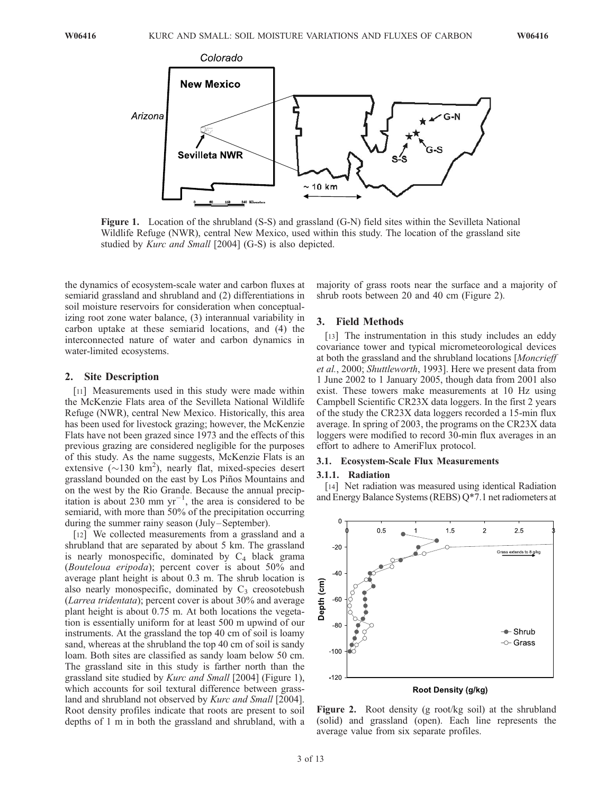

Figure 1. Location of the shrubland (S-S) and grassland (G-N) field sites within the Sevilleta National Wildlife Refuge (NWR), central New Mexico, used within this study. The location of the grassland site studied by *Kurc and Small* [2004] (G-S) is also depicted.

the dynamics of ecosystem-scale water and carbon fluxes at semiarid grassland and shrubland and (2) differentiations in soil moisture reservoirs for consideration when conceptualizing root zone water balance, (3) interannual variability in carbon uptake at these semiarid locations, and (4) the interconnected nature of water and carbon dynamics in water-limited ecosystems.

#### 2. Site Description

[11] Measurements used in this study were made within the McKenzie Flats area of the Sevilleta National Wildlife Refuge (NWR), central New Mexico. Historically, this area has been used for livestock grazing; however, the McKenzie Flats have not been grazed since 1973 and the effects of this previous grazing are considered negligible for the purposes of this study. As the name suggests, McKenzie Flats is an extensive  $(\sim 130 \text{ km}^2)$ , nearly flat, mixed-species desert grassland bounded on the east by Los Piños Mountains and on the west by the Rio Grande. Because the annual precipitation is about 230 mm  $yr^{-1}$ , the area is considered to be semiarid, with more than 50% of the precipitation occurring during the summer rainy season (July–September).

[12] We collected measurements from a grassland and a shrubland that are separated by about 5 km. The grassland is nearly monospecific, dominated by  $C_4$  black grama (Bouteloua eripoda); percent cover is about 50% and average plant height is about 0.3 m. The shrub location is also nearly monospecific, dominated by  $C_3$  creosotebush (Larrea tridentata); percent cover is about 30% and average plant height is about 0.75 m. At both locations the vegetation is essentially uniform for at least 500 m upwind of our instruments. At the grassland the top 40 cm of soil is loamy sand, whereas at the shrubland the top 40 cm of soil is sandy loam. Both sites are classified as sandy loam below 50 cm. The grassland site in this study is farther north than the grassland site studied by Kurc and Small [2004] (Figure 1), which accounts for soil textural difference between grassland and shrubland not observed by *Kurc and Small* [2004]. Root density profiles indicate that roots are present to soil depths of 1 m in both the grassland and shrubland, with a majority of grass roots near the surface and a majority of shrub roots between 20 and 40 cm (Figure 2).

# 3. Field Methods

[13] The instrumentation in this study includes an eddy covariance tower and typical micrometeorological devices at both the grassland and the shrubland locations [Moncrieff et al., 2000; Shuttleworth, 1993]. Here we present data from 1 June 2002 to 1 January 2005, though data from 2001 also exist. These towers make measurements at 10 Hz using Campbell Scientific CR23X data loggers. In the first 2 years of the study the CR23X data loggers recorded a 15-min flux average. In spring of 2003, the programs on the CR23X data loggers were modified to record 30-min flux averages in an effort to adhere to AmeriFlux protocol.

# 3.1. Ecosystem-Scale Flux Measurements

### 3.1.1. Radiation

[14] Net radiation was measured using identical Radiation and Energy Balance Systems (REBS) Q\*7.1 net radiometers at



Figure 2. Root density (g root/kg soil) at the shrubland (solid) and grassland (open). Each line represents the average value from six separate profiles.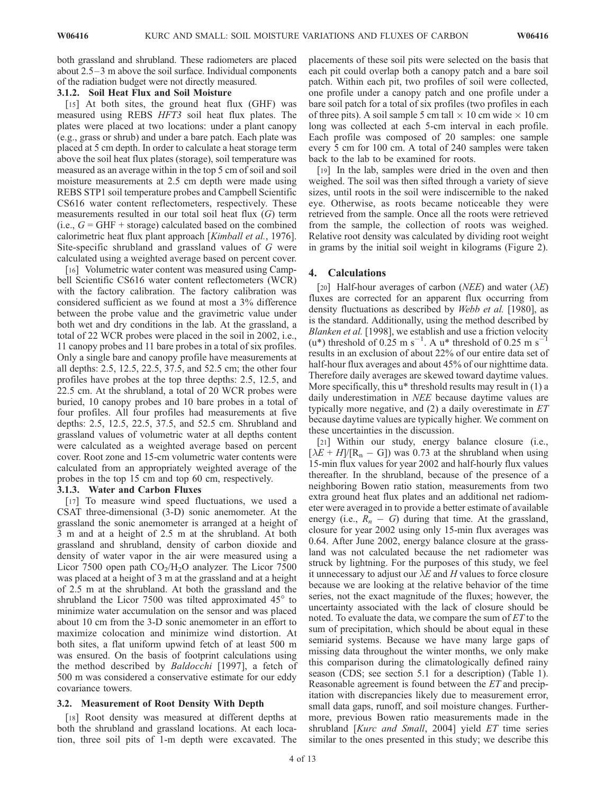both grassland and shrubland. These radiometers are placed about 2.5–3 m above the soil surface. Individual components of the radiation budget were not directly measured.

# 3.1.2. Soil Heat Flux and Soil Moisture

[15] At both sites, the ground heat flux (GHF) was measured using REBS HFT3 soil heat flux plates. The plates were placed at two locations: under a plant canopy (e.g., grass or shrub) and under a bare patch. Each plate was placed at 5 cm depth. In order to calculate a heat storage term above the soil heat flux plates (storage), soil temperature was measured as an average within in the top 5 cm of soil and soil moisture measurements at 2.5 cm depth were made using REBS STP1 soil temperature probes and Campbell Scientific CS616 water content reflectometers, respectively. These measurements resulted in our total soil heat flux (G) term (i.e.,  $G = GHF + storage$ ) calculated based on the combined calorimetric heat flux plant approach [Kimball et al., 1976]. Site-specific shrubland and grassland values of G were calculated using a weighted average based on percent cover.

[16] Volumetric water content was measured using Campbell Scientific CS616 water content reflectometers (WCR) with the factory calibration. The factory calibration was considered sufficient as we found at most a 3% difference between the probe value and the gravimetric value under both wet and dry conditions in the lab. At the grassland, a total of 22 WCR probes were placed in the soil in 2002, i.e., 11 canopy probes and 11 bare probes in a total of six profiles. Only a single bare and canopy profile have measurements at all depths: 2.5, 12.5, 22.5, 37.5, and 52.5 cm; the other four profiles have probes at the top three depths: 2.5, 12.5, and 22.5 cm. At the shrubland, a total of 20 WCR probes were buried, 10 canopy probes and 10 bare probes in a total of four profiles. All four profiles had measurements at five depths: 2.5, 12.5, 22.5, 37.5, and 52.5 cm. Shrubland and grassland values of volumetric water at all depths content were calculated as a weighted average based on percent cover. Root zone and 15-cm volumetric water contents were calculated from an appropriately weighted average of the probes in the top 15 cm and top 60 cm, respectively.

# 3.1.3. Water and Carbon Fluxes

[17] To measure wind speed fluctuations, we used a CSAT three-dimensional (3-D) sonic anemometer. At the grassland the sonic anemometer is arranged at a height of 3 m and at a height of 2.5 m at the shrubland. At both grassland and shrubland, density of carbon dioxide and density of water vapor in the air were measured using a Licor 7500 open path  $CO<sub>2</sub>/H<sub>2</sub>O$  analyzer. The Licor 7500 was placed at a height of 3 m at the grassland and at a height of 2.5 m at the shrubland. At both the grassland and the shrubland the Licor 7500 was tilted approximated  $45^{\circ}$  to minimize water accumulation on the sensor and was placed about 10 cm from the 3-D sonic anemometer in an effort to maximize colocation and minimize wind distortion. At both sites, a flat uniform upwind fetch of at least 500 m was ensured. On the basis of footprint calculations using the method described by Baldocchi [1997], a fetch of 500 m was considered a conservative estimate for our eddy covariance towers.

#### 3.2. Measurement of Root Density With Depth

[18] Root density was measured at different depths at both the shrubland and grassland locations. At each location, three soil pits of 1-m depth were excavated. The

placements of these soil pits were selected on the basis that each pit could overlap both a canopy patch and a bare soil patch. Within each pit, two profiles of soil were collected, one profile under a canopy patch and one profile under a bare soil patch for a total of six profiles (two profiles in each of three pits). A soil sample 5 cm tall  $\times$  10 cm wide  $\times$  10 cm long was collected at each 5-cm interval in each profile. Each profile was composed of 20 samples: one sample every 5 cm for 100 cm. A total of 240 samples were taken back to the lab to be examined for roots.

[19] In the lab, samples were dried in the oven and then weighed. The soil was then sifted through a variety of sieve sizes, until roots in the soil were indiscernible to the naked eye. Otherwise, as roots became noticeable they were retrieved from the sample. Once all the roots were retrieved from the sample, the collection of roots was weighed. Relative root density was calculated by dividing root weight in grams by the initial soil weight in kilograms (Figure 2).

#### 4. Calculations

[20] Half-hour averages of carbon (*NEE*) and water ( $\lambda E$ ) fluxes are corrected for an apparent flux occurring from density fluctuations as described by Webb et al. [1980], as is the standard. Additionally, using the method described by Blanken et al. [1998], we establish and use a friction velocity  $(u^*)$  threshold of 0.25 m s<sup>-1</sup>. A u\* threshold of 0.25 m s<sup>-1</sup> results in an exclusion of about 22% of our entire data set of half-hour flux averages and about 45% of our nighttime data. Therefore daily averages are skewed toward daytime values. More specifically, this  $u^*$  threshold results may result in  $(1)$  a daily underestimation in NEE because daytime values are typically more negative, and  $(2)$  a daily overestimate in  $ET$ because daytime values are typically higher. We comment on these uncertainties in the discussion.

[21] Within our study, energy balance closure (i.e.,  $[\lambda E + H]/[R_n - G]$ ) was 0.73 at the shrubland when using 15-min flux values for year 2002 and half-hourly flux values thereafter. In the shrubland, because of the presence of a neighboring Bowen ratio station, measurements from two extra ground heat flux plates and an additional net radiometer were averaged in to provide a better estimate of available energy (i.e.,  $R_n - G$ ) during that time. At the grassland, closure for year 2002 using only 15-min flux averages was 0.64. After June 2002, energy balance closure at the grassland was not calculated because the net radiometer was struck by lightning. For the purposes of this study, we feel it unnecessary to adjust our  $\lambda E$  and H values to force closure because we are looking at the relative behavior of the time series, not the exact magnitude of the fluxes; however, the uncertainty associated with the lack of closure should be noted. To evaluate the data, we compare the sum of  $ET$  to the sum of precipitation, which should be about equal in these semiarid systems. Because we have many large gaps of missing data throughout the winter months, we only make this comparison during the climatologically defined rainy season (CDS; see section 5.1 for a description) (Table 1). Reasonable agreement is found between the ET and precipitation with discrepancies likely due to measurement error, small data gaps, runoff, and soil moisture changes. Furthermore, previous Bowen ratio measurements made in the shrubland [Kurc and Small, 2004] yield ET time series similar to the ones presented in this study; we describe this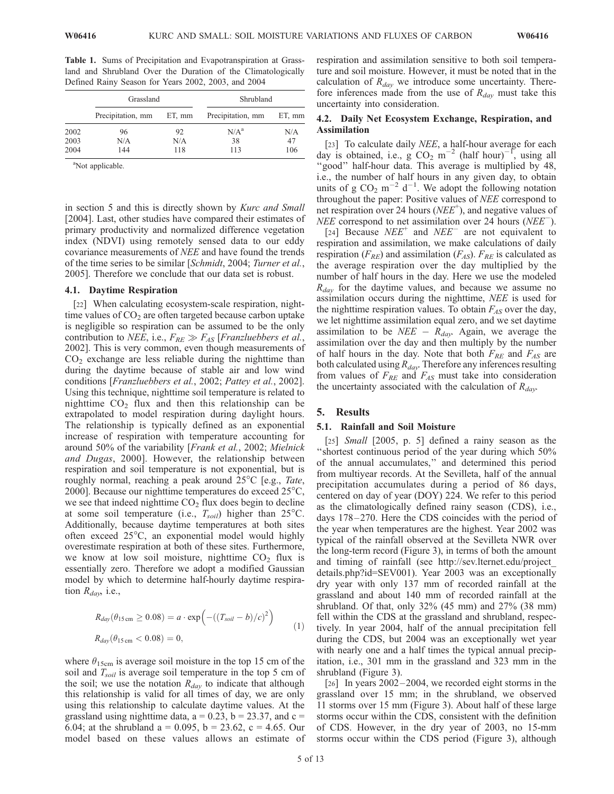Table 1. Sums of Precipitation and Evapotranspiration at Grassland and Shrubland Over the Duration of the Climatologically Defined Rainy Season for Years 2002, 2003, and 2004

|      | Grassland         |        | Shrubland         |          |  |
|------|-------------------|--------|-------------------|----------|--|
|      | Precipitation, mm | ET, mm | Precipitation, mm | $ETn$ mm |  |
| 2002 | 96                | 92     | $N/A^a$           | N/A      |  |
| 2003 | N/A               | N/A    | 38                | 47       |  |
| 2004 | 144               | 118    | 113               | 106      |  |

<sup>a</sup>Not applicable.

in section 5 and this is directly shown by Kurc and Small [2004]. Last, other studies have compared their estimates of primary productivity and normalized difference vegetation index (NDVI) using remotely sensed data to our eddy covariance measurements of NEE and have found the trends of the time series to be similar [Schmidt, 2004; Turner et al., 2005]. Therefore we conclude that our data set is robust.

#### 4.1. Daytime Respiration

[22] When calculating ecosystem-scale respiration, nighttime values of  $CO<sub>2</sub>$  are often targeted because carbon uptake is negligible so respiration can be assumed to be the only contribution to *NEE*, i.e.,  $F_{RE} \gg F_{AS}$  [*Franzluebbers et al.*, 2002]. This is very common, even though measurements of  $CO<sub>2</sub>$  exchange are less reliable during the nighttime than during the daytime because of stable air and low wind conditions [Franzluebbers et al., 2002; Pattey et al., 2002]. Using this technique, nighttime soil temperature is related to nighttime  $CO<sub>2</sub>$  flux and then this relationship can be extrapolated to model respiration during daylight hours. The relationship is typically defined as an exponential increase of respiration with temperature accounting for around 50% of the variability [Frank et al., 2002; Mielnick and Dugas, 2000]. However, the relationship between respiration and soil temperature is not exponential, but is roughly normal, reaching a peak around  $25^{\circ}$ C [e.g., *Tate*, 2000]. Because our nighttime temperatures do exceed  $25^{\circ}$ C, we see that indeed nighttime  $CO<sub>2</sub>$  flux does begin to decline at some soil temperature (i.e.,  $T_{soil}$ ) higher than 25°C. Additionally, because daytime temperatures at both sites often exceed  $25^{\circ}$ C, an exponential model would highly overestimate respiration at both of these sites. Furthermore, we know at low soil moisture, nighttime  $CO<sub>2</sub>$  flux is essentially zero. Therefore we adopt a modified Gaussian model by which to determine half-hourly daytime respiration  $R_{day}$ , i.e.,

$$
R_{day}(\theta_{15 \text{ cm}} \ge 0.08) = a \cdot \exp\left(-( (T_{soil} - b)/c)^2 \right)
$$
  
\n
$$
R_{day}(\theta_{15 \text{ cm}} < 0.08) = 0,
$$
\n(1)

where  $\theta_{15cm}$  is average soil moisture in the top 15 cm of the soil and  $T_{soil}$  is average soil temperature in the top 5 cm of the soil; we use the notation  $R_{day}$  to indicate that although this relationship is valid for all times of day, we are only using this relationship to calculate daytime values. At the grassland using nighttime data,  $a = 0.23$ ,  $b = 23.37$ , and  $c =$ 6.04; at the shrubland a = 0.095, b = 23.62, c = 4.65. Our model based on these values allows an estimate of respiration and assimilation sensitive to both soil temperature and soil moisture. However, it must be noted that in the calculation of  $R_{day}$  we introduce some uncertainty. Therefore inferences made from the use of  $R_{day}$  must take this uncertainty into consideration.

# 4.2. Daily Net Ecosystem Exchange, Respiration, and Assimilation

[23] To calculate daily NEE, a half-hour average for each day is obtained, i.e.,  $g \text{ CO}_2 \text{ m}^{-2}$  (half hour)<sup>-1</sup>, using all "good" half-hour data. This average is multiplied by 48, i.e., the number of half hours in any given day, to obtain units of g  $CO_2$  m<sup>-2</sup> d<sup>-1</sup>. We adopt the following notation throughout the paper: Positive values of NEE correspond to net respiration over 24 hours ( $NEE^+$ ), and negative values of *NEE* correspond to net assimilation over 24 hours (*NEE*).

[24] Because  $NEE^+$  and  $NEE^-$  are not equivalent to respiration and assimilation, we make calculations of daily respiration ( $F_{RE}$ ) and assimilation ( $F_{AS}$ ).  $F_{RE}$  is calculated as the average respiration over the day multiplied by the number of half hours in the day. Here we use the modeled  $R_{\text{dav}}$  for the daytime values, and because we assume no assimilation occurs during the nighttime, NEE is used for the nighttime respiration values. To obtain  $F_{AS}$  over the day, we let nighttime assimilation equal zero, and we set daytime assimilation to be *NEE* –  $R_{day}$ . Again, we average the assimilation over the day and then multiply by the number of half hours in the day. Note that both  $F_{RE}$  and  $F_{AS}$  are both calculated using  $R_{day}$ . Therefore any inferences resulting from values of  $F_{RE}$  and  $F_{AS}$  must take into consideration the uncertainty associated with the calculation of  $R_{\text{dav}}$ .

# 5. Results

#### 5.1. Rainfall and Soil Moisture

[25] *Small* [2005, p. 5] defined a rainy season as the ''shortest continuous period of the year during which 50% of the annual accumulates,'' and determined this period from multiyear records. At the Sevilleta, half of the annual precipitation accumulates during a period of 86 days, centered on day of year (DOY) 224. We refer to this period as the climatologically defined rainy season (CDS), i.e., days 178– 270. Here the CDS coincides with the period of the year when temperatures are the highest. Year 2002 was typical of the rainfall observed at the Sevilleta NWR over the long-term record (Figure 3), in terms of both the amount and timing of rainfall (see http://sev.lternet.edu/project\_ details.php?id=SEV001). Year 2003 was an exceptionally dry year with only 137 mm of recorded rainfall at the grassland and about 140 mm of recorded rainfall at the shrubland. Of that, only 32% (45 mm) and 27% (38 mm) fell within the CDS at the grassland and shrubland, respectively. In year 2004, half of the annual precipitation fell during the CDS, but 2004 was an exceptionally wet year with nearly one and a half times the typical annual precipitation, i.e., 301 mm in the grassland and 323 mm in the shrubland (Figure 3).

[26] In years 2002–2004, we recorded eight storms in the grassland over 15 mm; in the shrubland, we observed 11 storms over 15 mm (Figure 3). About half of these large storms occur within the CDS, consistent with the definition of CDS. However, in the dry year of 2003, no 15-mm storms occur within the CDS period (Figure 3), although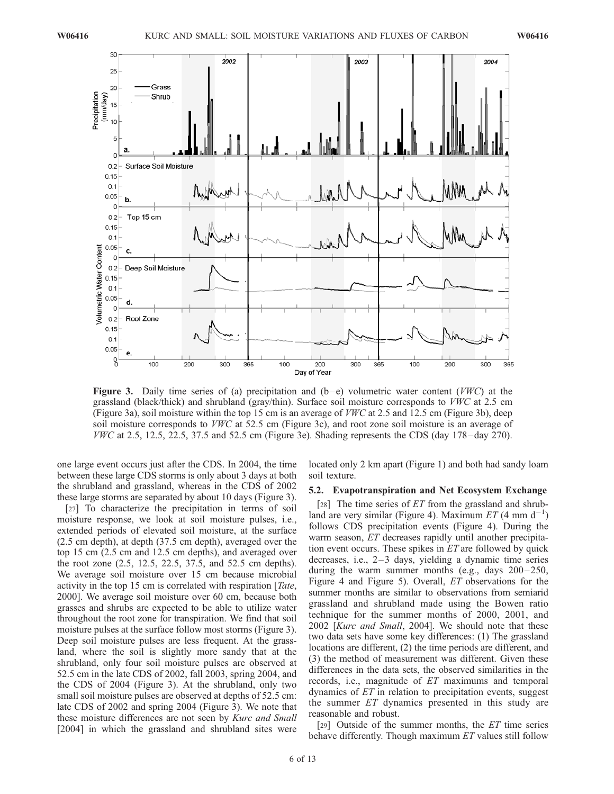

**Figure 3.** Daily time series of (a) precipitation and  $(b-e)$  volumetric water content (VWC) at the grassland (black/thick) and shrubland (gray/thin). Surface soil moisture corresponds to VWC at 2.5 cm (Figure 3a), soil moisture within the top 15 cm is an average of VWC at 2.5 and 12.5 cm (Figure 3b), deep soil moisture corresponds to VWC at 52.5 cm (Figure 3c), and root zone soil moisture is an average of VWC at 2.5, 12.5, 22.5, 37.5 and 52.5 cm (Figure 3e). Shading represents the CDS (day 178– day 270).

one large event occurs just after the CDS. In 2004, the time between these large CDS storms is only about 3 days at both the shrubland and grassland, whereas in the CDS of 2002 these large storms are separated by about 10 days (Figure 3).

[27] To characterize the precipitation in terms of soil moisture response, we look at soil moisture pulses, i.e., extended periods of elevated soil moisture, at the surface (2.5 cm depth), at depth (37.5 cm depth), averaged over the top 15 cm (2.5 cm and 12.5 cm depths), and averaged over the root zone (2.5, 12.5, 22.5, 37.5, and 52.5 cm depths). We average soil moisture over 15 cm because microbial activity in the top 15 cm is correlated with respiration [Tate, 2000]. We average soil moisture over 60 cm, because both grasses and shrubs are expected to be able to utilize water throughout the root zone for transpiration. We find that soil moisture pulses at the surface follow most storms (Figure 3). Deep soil moisture pulses are less frequent. At the grassland, where the soil is slightly more sandy that at the shrubland, only four soil moisture pulses are observed at 52.5 cm in the late CDS of 2002, fall 2003, spring 2004, and the CDS of 2004 (Figure 3). At the shrubland, only two small soil moisture pulses are observed at depths of 52.5 cm: late CDS of 2002 and spring 2004 (Figure 3). We note that these moisture differences are not seen by Kurc and Small [2004] in which the grassland and shrubland sites were

located only 2 km apart (Figure 1) and both had sandy loam soil texture.

# 5.2. Evapotranspiration and Net Ecosystem Exchange

[28] The time series of  $ET$  from the grassland and shrubland are very similar (Figure 4). Maximum  $ET(4 \text{ mm d}^{-1})$ follows CDS precipitation events (Figure 4). During the warm season, *ET* decreases rapidly until another precipitation event occurs. These spikes in  $ET$  are followed by quick decreases, i.e.,  $2-3$  days, yielding a dynamic time series during the warm summer months (e.g., days  $200-250$ , Figure 4 and Figure 5). Overall, ET observations for the summer months are similar to observations from semiarid grassland and shrubland made using the Bowen ratio technique for the summer months of 2000, 2001, and 2002 [Kurc and Small, 2004]. We should note that these two data sets have some key differences: (1) The grassland locations are different, (2) the time periods are different, and (3) the method of measurement was different. Given these differences in the data sets, the observed similarities in the records, i.e., magnitude of  $ET$  maximums and temporal dynamics of  $ET$  in relation to precipitation events, suggest the summer ET dynamics presented in this study are reasonable and robust.

[29] Outside of the summer months, the  $ET$  time series behave differently. Though maximum ET values still follow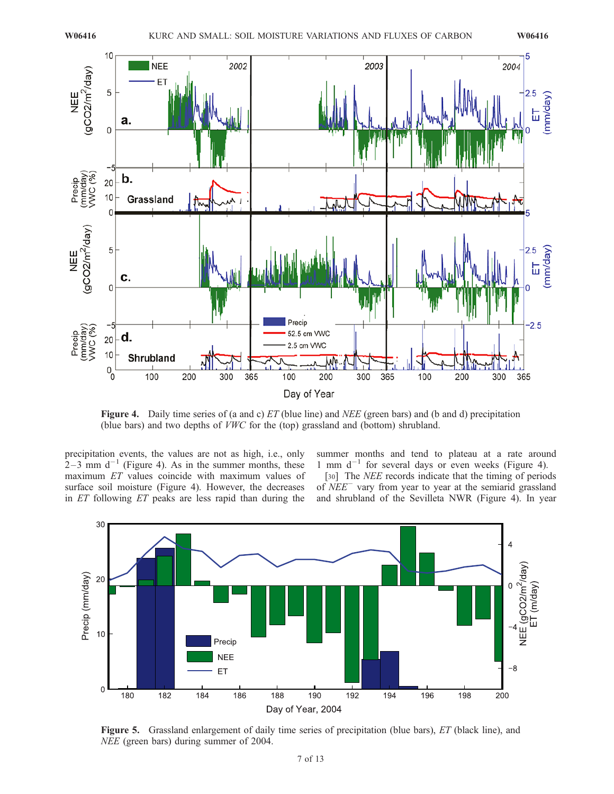

Figure 4. Daily time series of (a and c) ET (blue line) and NEE (green bars) and (b and d) precipitation (blue bars) and two depths of VWC for the (top) grassland and (bottom) shrubland.

precipitation events, the values are not as high, i.e., only  $2-3$  mm d<sup>-1</sup> (Figure 4). As in the summer months, these maximum ET values coincide with maximum values of surface soil moisture (Figure 4). However, the decreases in ET following ET peaks are less rapid than during the

summer months and tend to plateau at a rate around 1 mm  $d^{-1}$  for several days or even weeks (Figure 4).

[30] The *NEE* records indicate that the timing of periods of  $NEE^-$  vary from year to year at the semiarid grassland and shrubland of the Sevilleta NWR (Figure 4). In year



Figure 5. Grassland enlargement of daily time series of precipitation (blue bars), ET (black line), and NEE (green bars) during summer of 2004.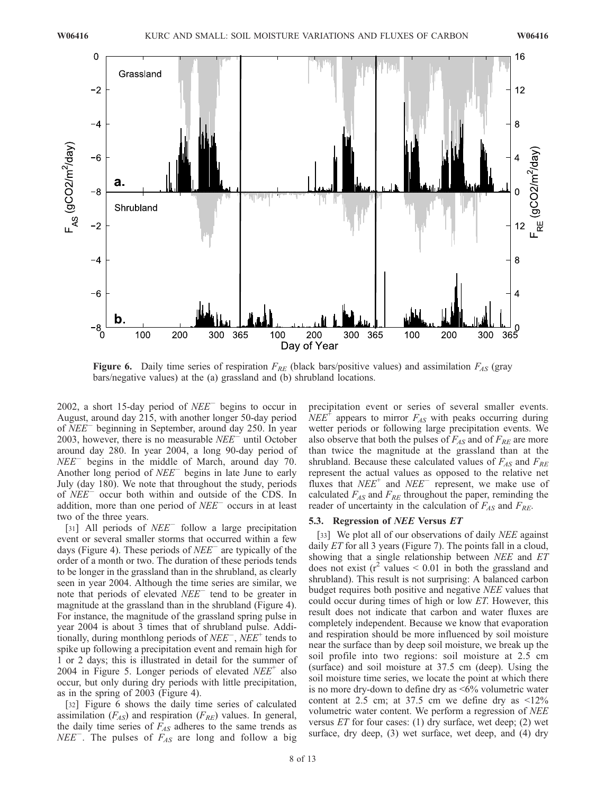

**Figure 6.** Daily time series of respiration  $F_{RE}$  (black bars/positive values) and assimilation  $F_{AS}$  (gray bars/negative values) at the (a) grassland and (b) shrubland locations.

2002, a short 15-day period of  $NEE^-$  begins to occur in August, around day 215, with another longer 50-day period of NEE beginning in September, around day 250. In year 2003, however, there is no measurable  $NEE^-$  until October around day 280. In year 2004, a long 90-day period of  $NEE^-$  begins in the middle of March, around day 70. Another long period of  $NEE^-$  begins in late June to early July (day 180). We note that throughout the study, periods of  $NEE^-$  occur both within and outside of the CDS. In addition, more than one period of  $NEE^-$  occurs in at least two of the three years.

[31] All periods of  $NEE^-$  follow a large precipitation event or several smaller storms that occurred within a few days (Figure 4). These periods of  $NEE^-$  are typically of the order of a month or two. The duration of these periods tends to be longer in the grassland than in the shrubland, as clearly seen in year 2004. Although the time series are similar, we note that periods of elevated  $NEE^-$  tend to be greater in magnitude at the grassland than in the shrubland (Figure 4). For instance, the magnitude of the grassland spring pulse in year 2004 is about 3 times that of shrubland pulse. Additionally, during monthlong periods of  $NEE^-$ ,  $NEE^+$  tends to spike up following a precipitation event and remain high for 1 or 2 days; this is illustrated in detail for the summer of 2004 in Figure 5. Longer periods of elevated  $NEE^+$  also occur, but only during dry periods with little precipitation, as in the spring of 2003 (Figure 4).

[32] Figure 6 shows the daily time series of calculated assimilation  $(F_{AS})$  and respiration  $(F_{RE})$  values. In general, the daily time series of  $F_{AS}$  adheres to the same trends as  $NEE^-$ . The pulses of  $F_{AS}$  are long and follow a big

precipitation event or series of several smaller events.  $NEE^+$  appears to mirror  $F_{AS}$  with peaks occurring during wetter periods or following large precipitation events. We also observe that both the pulses of  $F_{AS}$  and of  $F_{RE}$  are more than twice the magnitude at the grassland than at the shrubland. Because these calculated values of  $F_{AS}$  and  $F_{RE}$ represent the actual values as opposed to the relative net fluxes that  $NEE^+$  and  $NEE^-$  represent, we make use of calculated  $F_{AS}$  and  $F_{RE}$  throughout the paper, reminding the reader of uncertainty in the calculation of  $F_{AS}$  and  $F_{RE}$ .

#### 5.3. Regression of *NEE* Versus *ET*

[33] We plot all of our observations of daily *NEE* against daily  $ET$  for all 3 years (Figure 7). The points fall in a cloud, showing that a single relationship between NEE and ET does not exist  $(r^2 \text{ values} < 0.01 \text{ in both the grassland and})$ shrubland). This result is not surprising: A balanced carbon budget requires both positive and negative NEE values that could occur during times of high or low ET. However, this result does not indicate that carbon and water fluxes are completely independent. Because we know that evaporation and respiration should be more influenced by soil moisture near the surface than by deep soil moisture, we break up the soil profile into two regions: soil moisture at 2.5 cm (surface) and soil moisture at 37.5 cm (deep). Using the soil moisture time series, we locate the point at which there is no more dry-down to define dry as  $\leq 6\%$  volumetric water content at 2.5 cm; at 37.5 cm we define dry as  $\leq 12\%$ volumetric water content. We perform a regression of NEE versus  $ET$  for four cases: (1) dry surface, wet deep; (2) wet surface, dry deep, (3) wet surface, wet deep, and (4) dry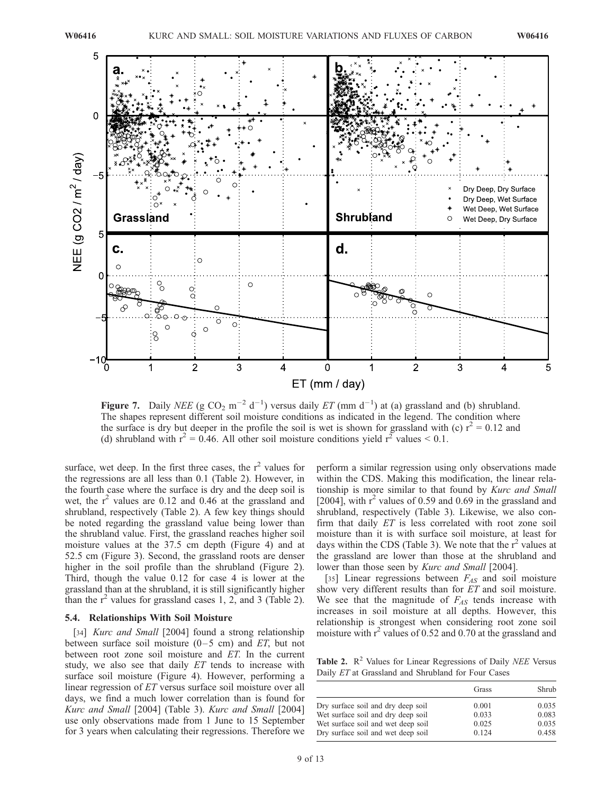

Figure 7. Daily NEE (g CO<sub>2</sub> m<sup>-2</sup> d<sup>-1</sup>) versus daily ET (mm d<sup>-1</sup>) at (a) grassland and (b) shrubland. The shapes represent different soil moisture conditions as indicated in the legend. The condition where the surface is dry but deeper in the profile the soil is wet is shown for grassland with (c)  $r^2 = 0.12$  and (d) shrubland with  $r^2 = 0.46$ . All other soil moisture conditions yield  $r^2$  values  $\leq 0.1$ .

surface, wet deep. In the first three cases, the  $r^2$  values for the regressions are all less than 0.1 (Table 2). However, in the fourth case where the surface is dry and the deep soil is wet, the  $r^2$  values are 0.12 and 0.46 at the grassland and shrubland, respectively (Table 2). A few key things should be noted regarding the grassland value being lower than the shrubland value. First, the grassland reaches higher soil moisture values at the 37.5 cm depth (Figure 4) and at 52.5 cm (Figure 3). Second, the grassland roots are denser higher in the soil profile than the shrubland (Figure 2). Third, though the value 0.12 for case 4 is lower at the grassland than at the shrubland, it is still significantly higher than the  $r^2$  values for grassland cases 1, 2, and 3 (Table 2).

### 5.4. Relationships With Soil Moisture

[34] *Kurc and Small* [2004] found a strong relationship between surface soil moisture  $(0-5 \text{ cm})$  and ET, but not between root zone soil moisture and ET. In the current study, we also see that daily ET tends to increase with surface soil moisture (Figure 4). However, performing a linear regression of ET versus surface soil moisture over all days, we find a much lower correlation than is found for Kurc and Small [2004] (Table 3). Kurc and Small [2004] use only observations made from 1 June to 15 September for 3 years when calculating their regressions. Therefore we

perform a similar regression using only observations made within the CDS. Making this modification, the linear relationship is more similar to that found by Kurc and Small [2004], with  $r^2$  values of 0.59 and 0.69 in the grassland and shrubland, respectively (Table 3). Likewise, we also confirm that daily ET is less correlated with root zone soil moisture than it is with surface soil moisture, at least for days within the CDS (Table 3). We note that the  $r^2$  values at the grassland are lower than those at the shrubland and lower than those seen by Kurc and Small [2004].

[35] Linear regressions between  $F_{AS}$  and soil moisture show very different results than for ET and soil moisture. We see that the magnitude of  $F_{AS}$  tends increase with increases in soil moisture at all depths. However, this relationship is strongest when considering root zone soil moisture with  $r^2$  values of 0.52 and 0.70 at the grassland and

Table 2.  $\mathbb{R}^2$  Values for Linear Regressions of Daily *NEE* Versus Daily ET at Grassland and Shrubland for Four Cases

|                                    | Grass | Shrub |
|------------------------------------|-------|-------|
| Dry surface soil and dry deep soil | 0.001 | 0.035 |
| Wet surface soil and dry deep soil | 0.033 | 0.083 |
| Wet surface soil and wet deep soil | 0.025 | 0.035 |
| Dry surface soil and wet deep soil | 0.124 | 0.458 |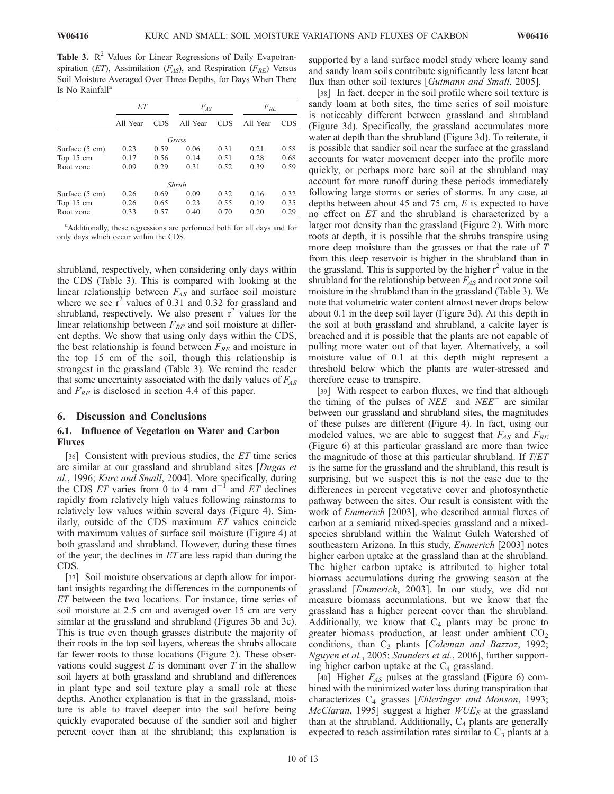Table 3.  $\mathbb{R}^2$  Values for Linear Regressions of Daily Evapotranspiration (ET), Assimilation ( $F_{AS}$ ), and Respiration ( $F_{RE}$ ) Versus Soil Moisture Averaged Over Three Depths, for Days When There Is No Rainfall<sup>a</sup>

|                          | ET       |            | $F_{AS}$ |            | $F_{RE}$ |            |  |  |  |
|--------------------------|----------|------------|----------|------------|----------|------------|--|--|--|
|                          | All Year | <b>CDS</b> | All Year | <b>CDS</b> | All Year | <b>CDS</b> |  |  |  |
| Grass                    |          |            |          |            |          |            |  |  |  |
| Surface $(5 \text{ cm})$ | 0.23     | 0.59       | 0.06     | 0.31       | 0.21     | 0.58       |  |  |  |
| Top 15 cm                | 0.17     | 0.56       | 0.14     | 0.51       | 0.28     | 0.68       |  |  |  |
| Root zone                | 0.09     | 0.29       | 0.31     | 0.52       | 0.39     | 0.59       |  |  |  |
| Shrub                    |          |            |          |            |          |            |  |  |  |
| Surface $(5 \text{ cm})$ | 0.26     | 0.69       | 0.09     | 0.32       | 0.16     | 0.32       |  |  |  |
| Top 15 cm                | 0.26     | 0.65       | 0.23     | 0.55       | 0.19     | 0.35       |  |  |  |
| Root zone                | 0.33     | 0.57       | 0.40     | 0.70       | 0.20     | 0.29       |  |  |  |

<sup>&</sup>lt;sup>a</sup>Additionally, these regressions are performed both for all days and for only days which occur within the CDS.

shrubland, respectively, when considering only days within the CDS (Table 3). This is compared with looking at the linear relationship between  $F_{AS}$  and surface soil moisture where we see  $r^2$  values of 0.31 and 0.32 for grassland and shrubland, respectively. We also present  $r^2$  values for the linear relationship between  $F_{RE}$  and soil moisture at different depths. We show that using only days within the CDS, the best relationship is found between  $F_{RE}$  and moisture in the top 15 cm of the soil, though this relationship is strongest in the grassland (Table 3). We remind the reader that some uncertainty associated with the daily values of  $F_{AS}$ and  $F_{RE}$  is disclosed in section 4.4 of this paper.

# 6. Discussion and Conclusions

# 6.1. Influence of Vegetation on Water and Carbon Fluxes

[36] Consistent with previous studies, the ET time series are similar at our grassland and shrubland sites [Dugas et al., 1996; Kurc and Small, 2004]. More specifically, during the CDS *ET* varies from 0 to 4 mm  $d^{-1}$  and *ET* declines rapidly from relatively high values following rainstorms to relatively low values within several days (Figure 4). Similarly, outside of the CDS maximum ET values coincide with maximum values of surface soil moisture (Figure 4) at both grassland and shrubland. However, during these times of the year, the declines in  $ET$  are less rapid than during the CDS.

[37] Soil moisture observations at depth allow for important insights regarding the differences in the components of ET between the two locations. For instance, time series of soil moisture at 2.5 cm and averaged over 15 cm are very similar at the grassland and shrubland (Figures 3b and 3c). This is true even though grasses distribute the majority of their roots in the top soil layers, whereas the shrubs allocate far fewer roots to those locations (Figure 2). These observations could suggest  $E$  is dominant over  $T$  in the shallow soil layers at both grassland and shrubland and differences in plant type and soil texture play a small role at these depths. Another explanation is that in the grassland, moisture is able to travel deeper into the soil before being quickly evaporated because of the sandier soil and higher percent cover than at the shrubland; this explanation is

supported by a land surface model study where loamy sand and sandy loam soils contribute significantly less latent heat flux than other soil textures [Gutmann and Small, 2005].

[38] In fact, deeper in the soil profile where soil texture is sandy loam at both sites, the time series of soil moisture is noticeably different between grassland and shrubland (Figure 3d). Specifically, the grassland accumulates more water at depth than the shrubland (Figure 3d). To reiterate, it is possible that sandier soil near the surface at the grassland accounts for water movement deeper into the profile more quickly, or perhaps more bare soil at the shrubland may account for more runoff during these periods immediately following large storms or series of storms. In any case, at depths between about 45 and 75 cm,  $E$  is expected to have no effect on ET and the shrubland is characterized by a larger root density than the grassland (Figure 2). With more roots at depth, it is possible that the shrubs transpire using more deep moisture than the grasses or that the rate of  $T$ from this deep reservoir is higher in the shrubland than in the grassland. This is supported by the higher  $r^2$  value in the shrubland for the relationship between  $F_{AS}$  and root zone soil moisture in the shrubland than in the grassland (Table 3). We note that volumetric water content almost never drops below about 0.1 in the deep soil layer (Figure 3d). At this depth in the soil at both grassland and shrubland, a calcite layer is breached and it is possible that the plants are not capable of pulling more water out of that layer. Alternatively, a soil moisture value of 0.1 at this depth might represent a threshold below which the plants are water-stressed and therefore cease to transpire.

[39] With respect to carbon fluxes, we find that although the timing of the pulses of  $NEE^+$  and  $NEE^-$  are similar between our grassland and shrubland sites, the magnitudes of these pulses are different (Figure 4). In fact, using our modeled values, we are able to suggest that  $F_{AS}$  and  $F_{RE}$ (Figure 6) at this particular grassland are more than twice the magnitude of those at this particular shrubland. If T/ET is the same for the grassland and the shrubland, this result is surprising, but we suspect this is not the case due to the differences in percent vegetative cover and photosynthetic pathway between the sites. Our result is consistent with the work of Emmerich [2003], who described annual fluxes of carbon at a semiarid mixed-species grassland and a mixedspecies shrubland within the Walnut Gulch Watershed of southeastern Arizona. In this study, Emmerich [2003] notes higher carbon uptake at the grassland than at the shrubland. The higher carbon uptake is attributed to higher total biomass accumulations during the growing season at the grassland [Emmerich, 2003]. In our study, we did not measure biomass accumulations, but we know that the grassland has a higher percent cover than the shrubland. Additionally, we know that  $C_4$  plants may be prone to greater biomass production, at least under ambient  $CO<sub>2</sub>$ conditions, than  $C_3$  plants [Coleman and Bazzaz, 1992; Nguyen et al., 2005; Saunders et al., 2006], further supporting higher carbon uptake at the  $C_4$  grassland.

[40] Higher  $F_{AS}$  pulses at the grassland (Figure 6) combined with the minimized water loss during transpiration that characterizes  $C_4$  grasses [Ehleringer and Monson, 1993; McClaran, 1995] suggest a higher  $WUE_E$  at the grassland than at the shrubland. Additionally,  $C_4$  plants are generally expected to reach assimilation rates similar to  $C_3$  plants at a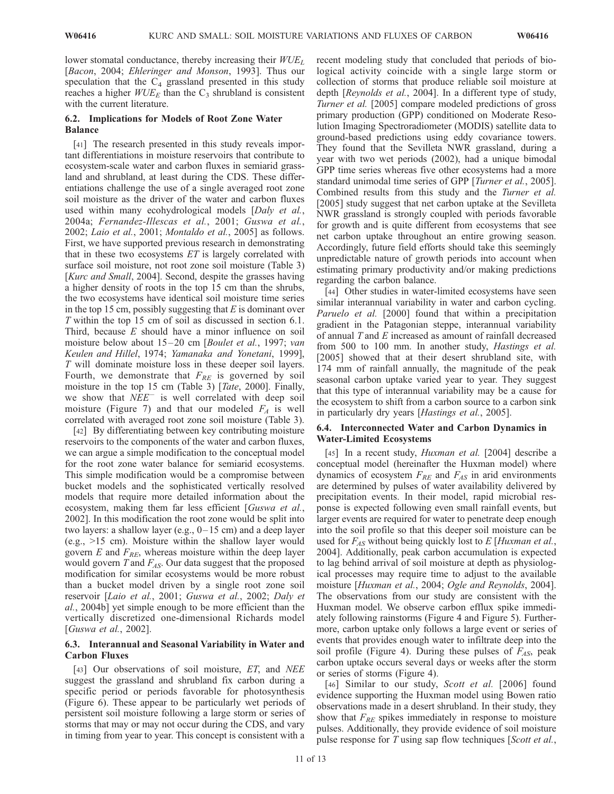lower stomatal conductance, thereby increasing their  $WUE<sub>L</sub>$ [Bacon, 2004; Ehleringer and Monson, 1993]. Thus our speculation that the  $C_4$  grassland presented in this study reaches a higher  $WUE_E$  than the  $C_3$  shrubland is consistent with the current literature.

# 6.2. Implications for Models of Root Zone Water Balance

[41] The research presented in this study reveals important differentiations in moisture reservoirs that contribute to ecosystem-scale water and carbon fluxes in semiarid grassland and shrubland, at least during the CDS. These differentiations challenge the use of a single averaged root zone soil moisture as the driver of the water and carbon fluxes used within many ecohydrological models [Daly et al., 2004a; Fernandez-Illescas et al., 2001; Guswa et al., 2002; Laio et al., 2001; Montaldo et al., 2005] as follows. First, we have supported previous research in demonstrating that in these two ecosystems  $ET$  is largely correlated with surface soil moisture, not root zone soil moisture (Table 3) [Kurc and Small, 2004]. Second, despite the grasses having a higher density of roots in the top 15 cm than the shrubs, the two ecosystems have identical soil moisture time series in the top 15 cm, possibly suggesting that  $E$  is dominant over T within the top 15 cm of soil as discussed in section 6.1. Third, because  $E$  should have a minor influence on soil moisture below about 15–20 cm [Boulet et al., 1997; van Keulen and Hillel, 1974; Yamanaka and Yonetani, 1999], T will dominate moisture loss in these deeper soil layers. Fourth, we demonstrate that  $F_{RE}$  is governed by soil moisture in the top 15 cm (Table 3) [Tate, 2000]. Finally, we show that  $NEE^-$  is well correlated with deep soil moisture (Figure 7) and that our modeled  $F_A$  is well correlated with averaged root zone soil moisture (Table 3).

[42] By differentiating between key contributing moisture reservoirs to the components of the water and carbon fluxes, we can argue a simple modification to the conceptual model for the root zone water balance for semiarid ecosystems. This simple modification would be a compromise between bucket models and the sophisticated vertically resolved models that require more detailed information about the ecosystem, making them far less efficient [Guswa et al., 2002]. In this modification the root zone would be split into two layers: a shallow layer (e.g.,  $0-15$  cm) and a deep layer (e.g., >15 cm). Moisture within the shallow layer would govern E and  $F_{RF}$ , whereas moisture within the deep layer would govern T and  $F_{AS}$ . Our data suggest that the proposed modification for similar ecosystems would be more robust than a bucket model driven by a single root zone soil reservoir [Laio et al., 2001; Guswa et al., 2002; Daly et al., 2004b] yet simple enough to be more efficient than the vertically discretized one-dimensional Richards model [Guswa et al., 2002].

# 6.3. Interannual and Seasonal Variability in Water and Carbon Fluxes

[43] Our observations of soil moisture, *ET*, and *NEE* suggest the grassland and shrubland fix carbon during a specific period or periods favorable for photosynthesis (Figure 6). These appear to be particularly wet periods of persistent soil moisture following a large storm or series of storms that may or may not occur during the CDS, and vary in timing from year to year. This concept is consistent with a

recent modeling study that concluded that periods of biological activity coincide with a single large storm or collection of storms that produce reliable soil moisture at depth [Reynolds et al., 2004]. In a different type of study, Turner et al. [2005] compare modeled predictions of gross primary production (GPP) conditioned on Moderate Resolution Imaging Spectroradiometer (MODIS) satellite data to ground-based predictions using eddy covariance towers. They found that the Sevilleta NWR grassland, during a year with two wet periods (2002), had a unique bimodal GPP time series whereas five other ecosystems had a more standard unimodal time series of GPP [*Turner et al.*, 2005]. Combined results from this study and the Turner et al. [2005] study suggest that net carbon uptake at the Sevilleta NWR grassland is strongly coupled with periods favorable for growth and is quite different from ecosystems that see net carbon uptake throughout an entire growing season. Accordingly, future field efforts should take this seemingly unpredictable nature of growth periods into account when estimating primary productivity and/or making predictions regarding the carbon balance.

[44] Other studies in water-limited ecosystems have seen similar interannual variability in water and carbon cycling. Paruelo et al. [2000] found that within a precipitation gradient in the Patagonian steppe, interannual variability of annual T and E increased as amount of rainfall decreased from 500 to 100 mm. In another study, Hastings et al. [2005] showed that at their desert shrubland site, with 174 mm of rainfall annually, the magnitude of the peak seasonal carbon uptake varied year to year. They suggest that this type of interannual variability may be a cause for the ecosystem to shift from a carbon source to a carbon sink in particularly dry years [Hastings et al., 2005].

# 6.4. Interconnected Water and Carbon Dynamics in Water-Limited Ecosystems

[45] In a recent study, *Huxman et al.* [2004] describe a conceptual model (hereinafter the Huxman model) where dynamics of ecosystem  $F_{RE}$  and  $F_{AS}$  in arid environments are determined by pulses of water availability delivered by precipitation events. In their model, rapid microbial response is expected following even small rainfall events, but larger events are required for water to penetrate deep enough into the soil profile so that this deeper soil moisture can be used for  $F_{AS}$  without being quickly lost to E [Huxman et al., 2004]. Additionally, peak carbon accumulation is expected to lag behind arrival of soil moisture at depth as physiological processes may require time to adjust to the available moisture [Huxman et al., 2004; Ogle and Reynolds, 2004]. The observations from our study are consistent with the Huxman model. We observe carbon efflux spike immediately following rainstorms (Figure 4 and Figure 5). Furthermore, carbon uptake only follows a large event or series of events that provides enough water to infiltrate deep into the soil profile (Figure 4). During these pulses of  $F_{AS}$ , peak carbon uptake occurs several days or weeks after the storm or series of storms (Figure 4).

[46] Similar to our study, Scott et al. [2006] found evidence supporting the Huxman model using Bowen ratio observations made in a desert shrubland. In their study, they show that  $F_{RE}$  spikes immediately in response to moisture pulses. Additionally, they provide evidence of soil moisture pulse response for T using sap flow techniques [Scott et al.,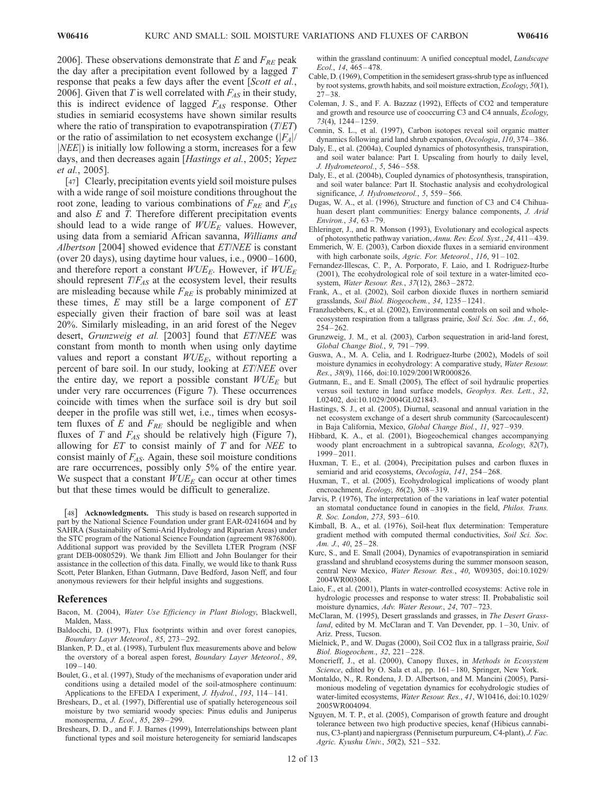2006]. These observations demonstrate that E and  $F_{RE}$  peak the day after a precipitation event followed by a lagged T response that peaks a few days after the event [Scott et al., 2006]. Given that T is well correlated with  $F_{AS}$  in their study, this is indirect evidence of lagged  $F_{AS}$  response. Other studies in semiarid ecosystems have shown similar results where the ratio of transpiration to evapotranspiration  $(T/ET)$ or the ratio of assimilation to net ecosystem exchange  $(|F_A|/$  $|NEE|$ ) is initially low following a storm, increases for a few days, and then decreases again [Hastings et al., 2005; Yepez et al., 2005].

[47] Clearly, precipitation events yield soil moisture pulses with a wide range of soil moisture conditions throughout the root zone, leading to various combinations of  $F_{RE}$  and  $F_{AS}$ and also  $E$  and  $T$ . Therefore different precipitation events should lead to a wide range of  $WUE_E$  values. However, using data from a semiarid African savanna, Williams and Albertson [2004] showed evidence that ET/NEE is constant (over 20 days), using daytime hour values, i.e., 0900– 1600, and therefore report a constant  $WUE<sub>E</sub>$ . However, if  $WUE<sub>E</sub>$ should represent  $T/F_{AS}$  at the ecosystem level, their results are misleading because while  $F_{RE}$  is probably minimized at these times,  $E$  may still be a large component of  $ET$ especially given their fraction of bare soil was at least 20%. Similarly misleading, in an arid forest of the Negev desert, Grunzweig et al. [2003] found that ET/NEE was constant from month to month when using only daytime values and report a constant  $WUE_E$ , without reporting a percent of bare soil. In our study, looking at ET/NEE over the entire day, we report a possible constant  $WUE<sub>E</sub>$  but under very rare occurrences (Figure 7). These occurrences coincide with times when the surface soil is dry but soil deeper in the profile was still wet, i.e., times when ecosystem fluxes of  $E$  and  $F_{RE}$  should be negligible and when fluxes of T and  $F_{AS}$  should be relatively high (Figure 7), allowing for  $ET$  to consist mainly of  $T$  and for  $NEE$  to consist mainly of  $F_{AS}$ . Again, these soil moisture conditions are rare occurrences, possibly only 5% of the entire year. We suspect that a constant  $WUE<sub>E</sub>$  can occur at other times but that these times would be difficult to generalize.

[48] **Acknowledgments.** This study is based on research supported in part by the National Science Foundation under grant EAR-0241604 and by SAHRA (Sustainability of Semi-Arid Hydrology and Riparian Areas) under the STC program of the National Science Foundation (agreement 9876800). Additional support was provided by the Sevilleta LTER Program (NSF grant DEB-0080529). We thank Jim Elliott and John Boulanger for their assistance in the collection of this data. Finally, we would like to thank Russ Scott, Peter Blanken, Ethan Gutmann, Dave Bedford, Jason Neff, and four anonymous reviewers for their helpful insights and suggestions.

#### References

- Bacon, M. (2004), Water Use Efficiency in Plant Biology, Blackwell, Malden, Mass.
- Baldocchi, D. (1997), Flux footprints within and over forest canopies, Boundary Layer Meteorol., 85, 273 – 292.
- Blanken, P. D., et al. (1998), Turbulent flux measurements above and below the overstory of a boreal aspen forest, Boundary Layer Meteorol., 89,  $109 - 140.$
- Boulet, G., et al. (1997), Study of the mechanisms of evaporation under arid conditions using a detailed model of the soil-atmosphere continuum: Applications to the EFEDA I experiment, J. Hydrol., 193, 114-141.
- Breshears, D., et al. (1997), Differential use of spatially heterogeneous soil moisture by two semiarid woody species: Pinus edulis and Juniperus monosperma, J. Ecol., 85, 289 – 299.
- Breshears, D. D., and F. J. Barnes (1999), Interrelationships between plant functional types and soil moisture heterogeneity for semiarid landscapes

within the grassland continuum: A unified conceptual model, *Landscape* Ecol., 14, 465 – 478.

- Cable, D. (1969), Competition in the semidesert grass-shrub type as influenced by root systems, growth habits, and soil moisture extraction, Ecology, 50(1),  $27 - 38.$
- Coleman, J. S., and F. A. Bazzaz (1992), Effects of CO2 and temperature and growth and resource use of cooccurring C3 and C4 annuals, Ecology, 73(4), 1244 – 1259.
- Connin, S. L., et al. (1997), Carbon isotopes reveal soil organic matter dynamics following arid land shrub expansion, Oecologia, 110, 374 – 386.
- Daly, E., et al. (2004a), Coupled dynamics of photosynthesis, transpiration, and soil water balance: Part I. Upscaling from hourly to daily level, J. Hydrometeorol., 5, 546 – 558.
- Daly, E., et al. (2004b), Coupled dynamics of photosynthesis, transpiration, and soil water balance: Part II. Stochastic analysis and ecohydrological significance, J. Hydrometeorol., 5, 559-566.
- Dugas, W. A., et al. (1996), Structure and function of C3 and C4 Chihuahuan desert plant communities: Energy balance components, J. Arid Environ., 34, 63 – 79.
- Ehleringer, J., and R. Monson (1993), Evolutionary and ecological aspects of photosynthetic pathway variation, Annu. Rev. Ecol. Syst., 24, 411 – 439.
- Emmerich, W. E. (2003), Carbon dioxide fluxes in a semiarid environment with high carbonate soils, Agric. For. Meteorol., 116, 91-102.
- Fernandez-Illescas, C. P., A. Porporato, F. Laio, and I. Rodriguez-Iturbe (2001), The ecohydrological role of soil texture in a water-limited ecosystem, Water Resour. Res., 37(12), 2863 – 2872.
- Frank, A., et al. (2002), Soil carbon dioxide fluxes in northern semiarid grasslands, Soil Biol. Biogeochem., 34, 1235 – 1241.
- Franzluebbers, K., et al. (2002), Environmental controls on soil and wholeecosystem respiration from a tallgrass prairie, Soil Sci. Soc. Am. J., 66,  $254 - 262.$
- Grunzweig, J. M., et al. (2003), Carbon sequestration in arid-land forest, Global Change Biol., 9, 791 – 799.
- Guswa, A., M. A. Celia, and I. Rodriguez-Iturbe (2002), Models of soil moisture dynamics in ecohydrology: A comparative study, Water Resour. Res., 38(9), 1166, doi:10.1029/2001WR000826.
- Gutmann, E., and E. Small (2005), The effect of soil hydraulic properties versus soil texture in land surface models, Geophys. Res. Lett., 32, L02402, doi:10.1029/2004GL021843.
- Hastings, S. J., et al. (2005), Diurnal, seasonal and annual variation in the net ecosystem exchange of a desert shrub community (Sarcocaulescent) in Baja California, Mexico, Global Change Biol., 11, 927 – 939.
- Hibbard, K. A., et al. (2001), Biogeochemical changes accompanying woody plant encroachment in a subtropical savanna, *Ecology*, 82(7),  $1999 - 2011$ .
- Huxman, T. E., et al. (2004), Precipitation pulses and carbon fluxes in semiarid and arid ecosystems, Oecologia, 141, 254-268.
- Huxman, T., et al. (2005), Ecohydrological implications of woody plant encroachment, *Ecology*, 86(2), 308-319.
- Jarvis, P. (1976), The interpretation of the variations in leaf water potential an stomatal conductance found in canopies in the field, Philos. Trans. R. Soc. London, 273, 593 – 610.
- Kimball, B. A., et al. (1976), Soil-heat flux determination: Temperature gradient method with computed thermal conductivities, Soil Sci. Soc. Am. J., 40, 25–28.
- Kurc, S., and E. Small (2004), Dynamics of evapotranspiration in semiarid grassland and shrubland ecosystems during the summer monsoon season, central New Mexico, Water Resour. Res., 40, W09305, doi:10.1029/ 2004WR003068.
- Laio, F., et al. (2001), Plants in water-controlled ecosystems: Active role in hydrologic processes and response to water stress: II. Probabalistic soil moisture dynamics, Adv. Water Resour., 24, 707 – 723.
- McClaran, M. (1995), Desert grasslands and grasses, in The Desert Grassland, edited by M. McClaran and T. Van Devender, pp.  $1-30$ , Univ. of Ariz. Press, Tucson.
- Mielnick, P., and W. Dugas (2000), Soil CO2 flux in a tallgrass prairie, Soil Biol. Biogeochem., 32, 221 – 228.
- Moncrieff, J., et al. (2000), Canopy fluxes, in Methods in Ecosystem Science, edited by O. Sala et al., pp. 161–180, Springer, New York.
- Montaldo, N., R. Rondena, J. D. Albertson, and M. Mancini (2005), Parsimonious modeling of vegetation dynamics for ecohydrologic studies of water-limited ecosystems, Water Resour. Res., 41, W10416, doi:10.1029/ 2005WR004094.
- Nguyen, M. T. P., et al. (2005), Comparison of growth feature and drought tolerance between two high productive species, kenaf (Hibicus cannabinus, C3-plant) and napiergrass (Pennisetum purpureum, C4-plant), J. Fac. Agric. Kyushu Univ., 50(2), 521-532.